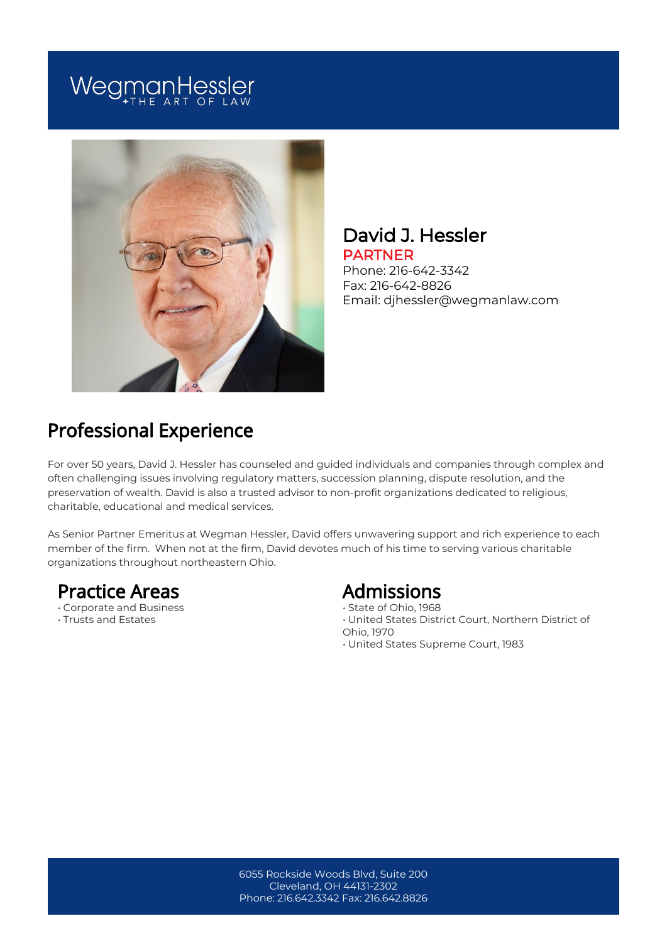# WegmanHessler



#### David J. Hessler PARTNER

Phone: 216-642-3342 Fax: 216-642-8826 Email: djhessler@wegmanlaw.com

## Professional Experience

For over 50 years, David J. Hessler has counseled and guided individuals and companies through complex and often challenging issues involving regulatory matters, succession planning, dispute resolution, and the preservation of wealth. David is also a trusted advisor to non-profit organizations dedicated to religious, charitable, educational and medical services.

As Senior Partner Emeritus at Wegman Hessler, David offers unwavering support and rich experience to each member of the firm. When not at the firm, David devotes much of his time to serving various charitable organizations throughout northeastern Ohio.

#### Practice Areas

- Corporate and Business
- Trusts and Estates

#### Admissions

- State of Ohio, 1968
- United States District Court, Northern District of
- Ohio, 1970
- United States Supreme Court, 1983